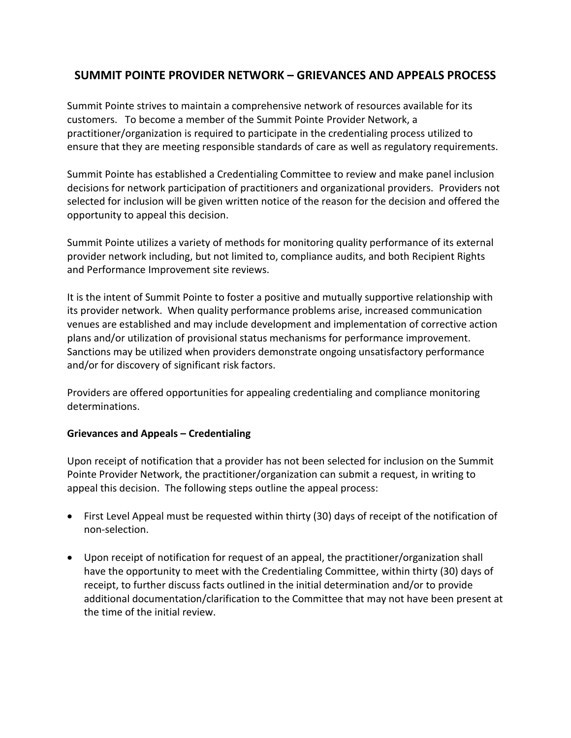## **SUMMIT POINTE PROVIDER NETWORK – GRIEVANCES AND APPEALS PROCESS**

Summit Pointe strives to maintain a comprehensive network of resources available for its customers. To become a member of the Summit Pointe Provider Network, a practitioner/organization is required to participate in the credentialing process utilized to ensure that they are meeting responsible standards of care as well as regulatory requirements.

Summit Pointe has established a Credentialing Committee to review and make panel inclusion decisions for network participation of practitioners and organizational providers. Providers not selected for inclusion will be given written notice of the reason for the decision and offered the opportunity to appeal this decision.

Summit Pointe utilizes a variety of methods for monitoring quality performance of its external provider network including, but not limited to, compliance audits, and both Recipient Rights and Performance Improvement site reviews.

It is the intent of Summit Pointe to foster a positive and mutually supportive relationship with its provider network. When quality performance problems arise, increased communication venues are established and may include development and implementation of corrective action plans and/or utilization of provisional status mechanisms for performance improvement. Sanctions may be utilized when providers demonstrate ongoing unsatisfactory performance and/or for discovery of significant risk factors.

Providers are offered opportunities for appealing credentialing and compliance monitoring determinations.

## **Grievances and Appeals – Credentialing**

Upon receipt of notification that a provider has not been selected for inclusion on the Summit Pointe Provider Network, the practitioner/organization can submit a request, in writing to appeal this decision. The following steps outline the appeal process:

- First Level Appeal must be requested within thirty (30) days of receipt of the notification of non-selection.
- Upon receipt of notification for request of an appeal, the practitioner/organization shall have the opportunity to meet with the Credentialing Committee, within thirty (30) days of receipt, to further discuss facts outlined in the initial determination and/or to provide additional documentation/clarification to the Committee that may not have been present at the time of the initial review.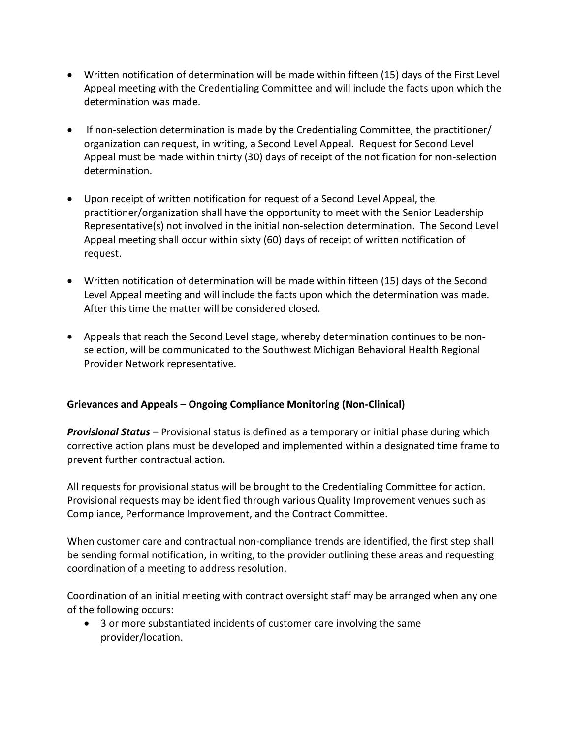- Written notification of determination will be made within fifteen (15) days of the First Level Appeal meeting with the Credentialing Committee and will include the facts upon which the determination was made.
- If non-selection determination is made by the Credentialing Committee, the practitioner/ organization can request, in writing, a Second Level Appeal. Request for Second Level Appeal must be made within thirty (30) days of receipt of the notification for non-selection determination.
- Upon receipt of written notification for request of a Second Level Appeal, the practitioner/organization shall have the opportunity to meet with the Senior Leadership Representative(s) not involved in the initial non-selection determination. The Second Level Appeal meeting shall occur within sixty (60) days of receipt of written notification of request.
- Written notification of determination will be made within fifteen (15) days of the Second Level Appeal meeting and will include the facts upon which the determination was made. After this time the matter will be considered closed.
- Appeals that reach the Second Level stage, whereby determination continues to be nonselection, will be communicated to the Southwest Michigan Behavioral Health Regional Provider Network representative.

## **Grievances and Appeals – Ongoing Compliance Monitoring (Non-Clinical)**

*Provisional Status* – Provisional status is defined as a temporary or initial phase during which corrective action plans must be developed and implemented within a designated time frame to prevent further contractual action.

All requests for provisional status will be brought to the Credentialing Committee for action. Provisional requests may be identified through various Quality Improvement venues such as Compliance, Performance Improvement, and the Contract Committee.

When customer care and contractual non-compliance trends are identified, the first step shall be sending formal notification, in writing, to the provider outlining these areas and requesting coordination of a meeting to address resolution.

Coordination of an initial meeting with contract oversight staff may be arranged when any one of the following occurs:

 3 or more substantiated incidents of customer care involving the same provider/location.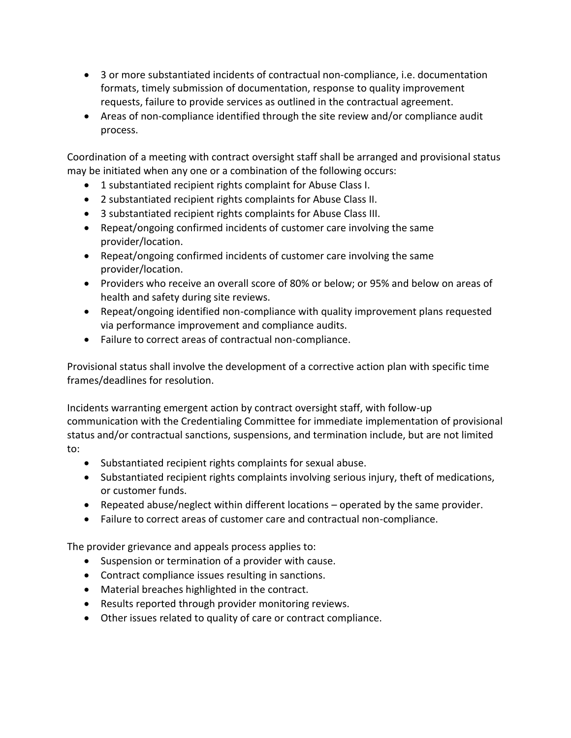- 3 or more substantiated incidents of contractual non-compliance, i.e. documentation formats, timely submission of documentation, response to quality improvement requests, failure to provide services as outlined in the contractual agreement.
- Areas of non-compliance identified through the site review and/or compliance audit process.

Coordination of a meeting with contract oversight staff shall be arranged and provisional status may be initiated when any one or a combination of the following occurs:

- 1 substantiated recipient rights complaint for Abuse Class I.
- 2 substantiated recipient rights complaints for Abuse Class II.
- 3 substantiated recipient rights complaints for Abuse Class III.
- Repeat/ongoing confirmed incidents of customer care involving the same provider/location.
- Repeat/ongoing confirmed incidents of customer care involving the same provider/location.
- Providers who receive an overall score of 80% or below; or 95% and below on areas of health and safety during site reviews.
- Repeat/ongoing identified non-compliance with quality improvement plans requested via performance improvement and compliance audits.
- Failure to correct areas of contractual non-compliance.

Provisional status shall involve the development of a corrective action plan with specific time frames/deadlines for resolution.

Incidents warranting emergent action by contract oversight staff, with follow-up communication with the Credentialing Committee for immediate implementation of provisional status and/or contractual sanctions, suspensions, and termination include, but are not limited to:

- Substantiated recipient rights complaints for sexual abuse.
- Substantiated recipient rights complaints involving serious injury, theft of medications, or customer funds.
- Repeated abuse/neglect within different locations operated by the same provider.
- Failure to correct areas of customer care and contractual non-compliance.

The provider grievance and appeals process applies to:

- Suspension or termination of a provider with cause.
- Contract compliance issues resulting in sanctions.
- Material breaches highlighted in the contract.
- Results reported through provider monitoring reviews.
- Other issues related to quality of care or contract compliance.